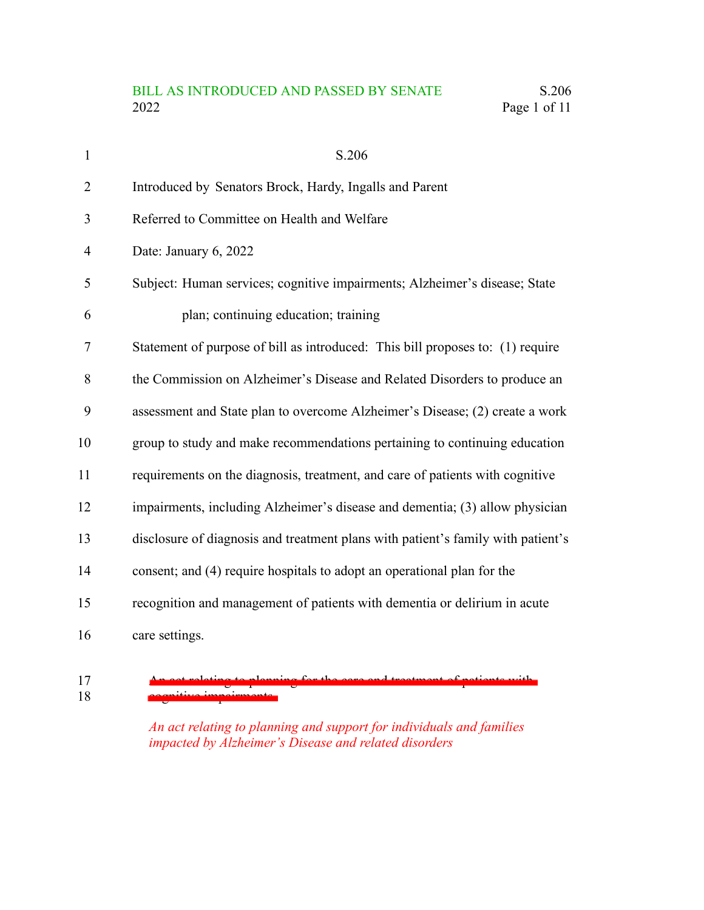## BILL AS INTRODUCED AND PASSED BY SENATE S.206 2022 Page 1 of 11

| $\mathbf{1}$   | S.206                                                                            |
|----------------|----------------------------------------------------------------------------------|
| $\overline{2}$ | Introduced by Senators Brock, Hardy, Ingalls and Parent                          |
| 3              | Referred to Committee on Health and Welfare                                      |
| 4              | Date: January 6, 2022                                                            |
| 5              | Subject: Human services; cognitive impairments; Alzheimer's disease; State       |
| 6              | plan; continuing education; training                                             |
| 7              | Statement of purpose of bill as introduced: This bill proposes to: (1) require   |
| 8              | the Commission on Alzheimer's Disease and Related Disorders to produce an        |
| 9              | assessment and State plan to overcome Alzheimer's Disease; (2) create a work     |
| 10             | group to study and make recommendations pertaining to continuing education       |
| 11             | requirements on the diagnosis, treatment, and care of patients with cognitive    |
| 12             | impairments, including Alzheimer's disease and dementia; (3) allow physician     |
| 13             | disclosure of diagnosis and treatment plans with patient's family with patient's |
| 14             | consent; and (4) require hospitals to adopt an operational plan for the          |
| 15             | recognition and management of patients with dementia or delirium in acute        |
| 16             | care settings.                                                                   |

An act relating to planning for the care and treatment of patients with cognitive impairments 17 18

> *An act relating to planning and support for individuals and families impacted by Alzheimer's Disease and related disorders*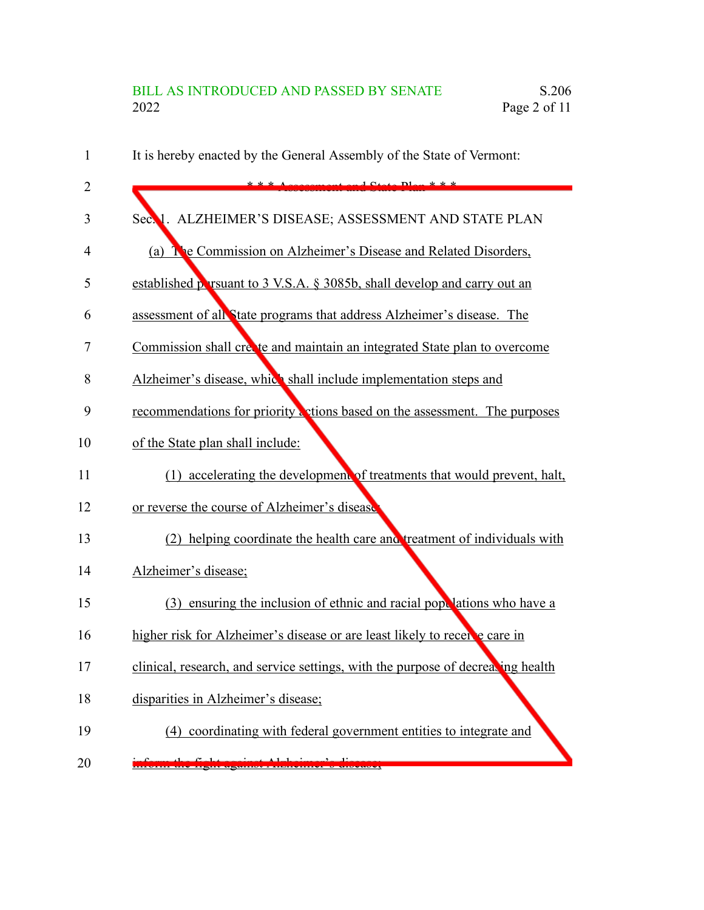| 1  | It is hereby enacted by the General Assembly of the State of Vermont:           |
|----|---------------------------------------------------------------------------------|
| 2  | $10+$                                                                           |
| 3  | ALZHEIMER'S DISEASE; ASSESSMENT AND STATE PLAN<br>Sec. 1.                       |
| 4  | (a) The Commission on Alzheimer's Disease and Related Disorders,                |
| 5  | established persuant to 3 V.S.A. § 3085b, shall develop and carry out an        |
| 6  | assessment of all State programs that address Alzheimer's disease. The          |
| 7  | Commission shall create and maintain an integrated State plan to overcome       |
| 8  | Alzheimer's disease, which shall include implementation steps and               |
| 9  | recommendations for priority a ctions based on the assessment. The purposes     |
| 10 | of the State plan shall include:                                                |
| 11 | (1) accelerating the development of treatments that would prevent, halt,        |
| 12 | or reverse the course of Alzheimer's disease                                    |
| 13 | (2) helping coordinate the health care and treatment of individuals with        |
| 14 | Alzheimer's disease;                                                            |
| 15 | (3) ensuring the inclusion of ethnic and racial pope lations who have a         |
| 16 | higher risk for Alzheimer's disease or are least likely to recente care in      |
| 17 | clinical, research, and service settings, with the purpose of decreating health |
| 18 | disparities in Alzheimer's disease;                                             |
| 19 | (4) coordinating with federal government entities to integrate and              |
| 20 |                                                                                 |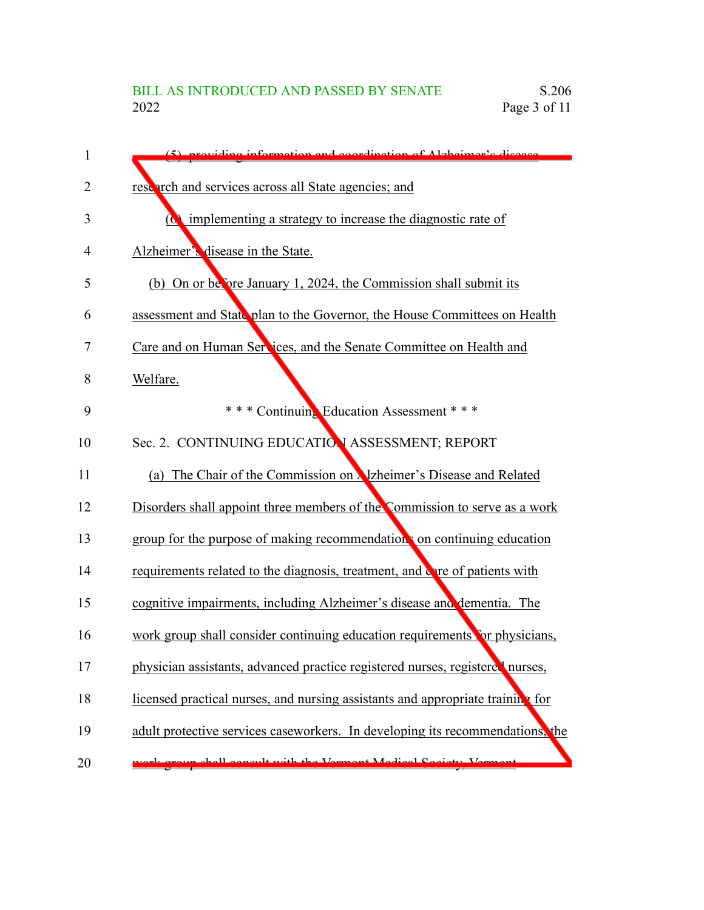| 1  | $(5)$ providing information and equating of $\Lambda$ relativer a discussed    |
|----|--------------------------------------------------------------------------------|
| 2  | research and services across all State agencies; and                           |
| 3  | $\alpha$ implementing a strategy to increase the diagnostic rate of            |
| 4  | Alzheimer's disease in the State.                                              |
| 5  | (b) On or before January 1, 2024, the Commission shall submit its              |
| 6  | assessment and State plan to the Governor, the House Committees on Health      |
| 7  | Care and on Human Services, and the Senate Committee on Health and             |
| 8  | Welfare.                                                                       |
| 9  | *** Continuing Education Assessment ***                                        |
| 10 | Sec. 2. CONTINUING EDUCATION ASSESSMENT; REPORT                                |
| 11 | (a) The Chair of the Commission on <b>Alzheimer's Disease and Related</b>      |
| 12 | Disorders shall appoint three members of the Commission to serve as a work     |
| 13 | group for the purpose of making recommendation on continuing education         |
| 14 | requirements related to the diagnosis, treatment, and over of patients with    |
| 15 | cognitive impairments, including Alzheimer's disease and dementia. The         |
| 16 | work group shall consider continuing education requirements for physicians,    |
| 17 | physician assistants, advanced practice registered nurses, registered nurses,  |
| 18 | licensed practical nurses, and nursing assistants and appropriate training for |
| 19 | adult protective services caseworkers. In developing its recommendations, the  |
| 20 | hall concult with the Vermont Medical Cogiety Ver                              |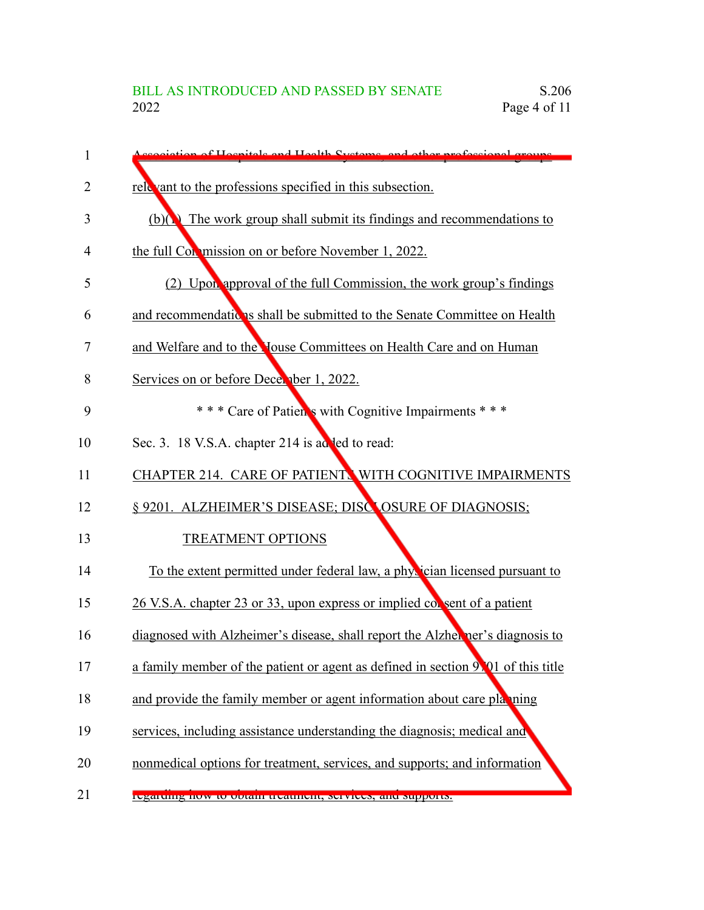| 1  | istion of Hospitals and Hoalth Systems, and other professional groups.           |
|----|----------------------------------------------------------------------------------|
| 2  | relevant to the professions specified in this subsection.                        |
| 3  | $(b)(\)$ The work group shall submit its findings and recommendations to         |
| 4  | the full Commission on or before November 1, 2022.                               |
| 5  | (2) Upon approval of the full Commission, the work group's findings              |
| 6  | and recommendations shall be submitted to the Senate Committee on Health         |
| 7  | and Welfare and to the Youse Committees on Health Care and on Human              |
| 8  | Services on or before December 1, 2022.                                          |
| 9  | *** Care of Patien's with Cognitive Impairments ***                              |
| 10 | Sec. 3. 18 V.S.A. chapter 214 is added to read:                                  |
| 11 | CHAPTER 214. CARE OF PATIENT. WITH COGNITIVE IMPAIRMENTS                         |
| 12 | § 9201. ALZHEIMER'S DISEASE; DISCLOSURE OF DIAGNOSIS;                            |
| 13 | <b>TREATMENT OPTIONS</b>                                                         |
| 14 | To the extent permitted under federal law, a physician licensed pursuant to      |
| 15 | 26 V.S.A. chapter 23 or 33, upon express or implied consent of a patient         |
| 16 | diagnosed with Alzheimer's disease, shall report the Alzheimer's diagnosis to    |
| 17 | a family member of the patient or agent as defined in section 9.01 of this title |
| 18 | and provide the family member or agent information about care playing            |
| 19 | services, including assistance understanding the diagnosis; medical and          |
| 20 | nonmedical options for treatment, services, and supports; and information        |
| 21 | regarumg now to obtain treatment, services, and supports.                        |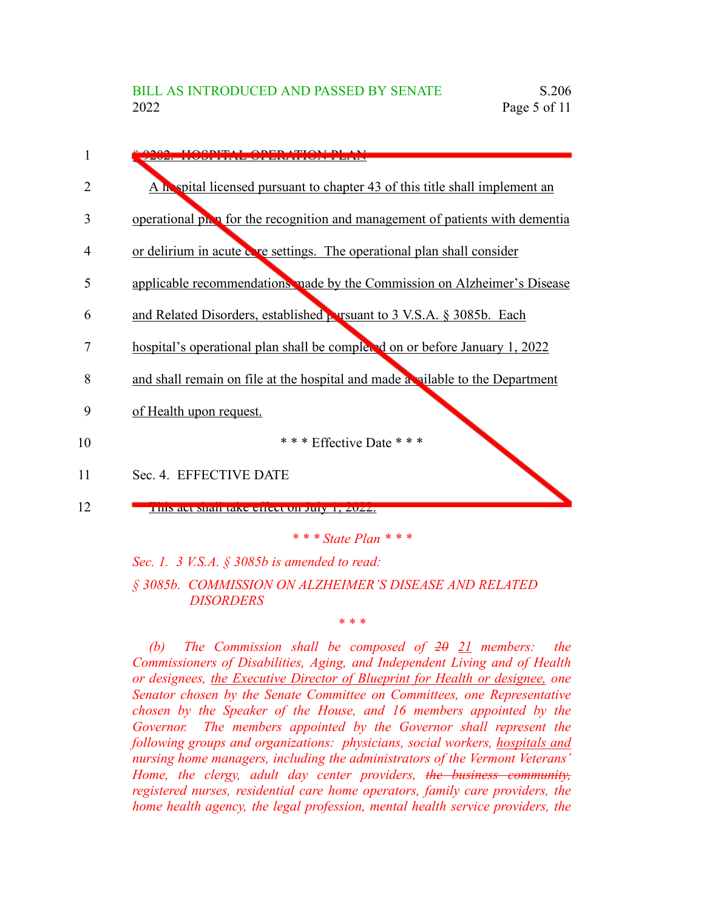

*Sec. 1. 3 V.S.A. § 3085b is amended to read:*

*§ 3085b. COMMISSION ON ALZHEIMER'S DISEASE AND RELATED DISORDERS*

*\* \* \**

*(b) The Commission shall be composed of 20 21 members: the Commissioners of Disabilities, Aging, and Independent Living and of Health or designees, the Executive Director of Blueprint for Health or designee, one Senator chosen by the Senate Committee on Committees, one Representative chosen by the Speaker of the House, and 16 members appointed by the Governor. The members appointed by the Governor shall represent the following groups and organizations: physicians, social workers, hospitals and nursing home managers, including the administrators of the Vermont Veterans' Home, the clergy, adult day center providers, the business community, registered nurses, residential care home operators, family care providers, the home health agency, the legal profession, mental health service providers, the*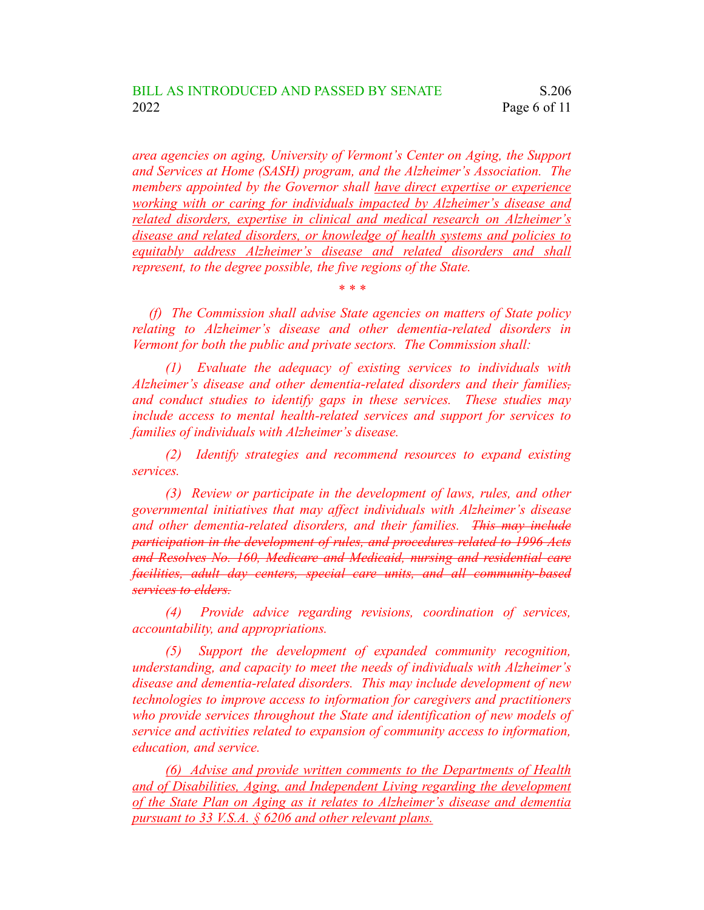*area agencies on aging, University of Vermont's Center on Aging, the Support and Services at Home (SASH) program, and the Alzheimer's Association. The members appointed by the Governor shall have direct expertise or experience working with or caring for individuals impacted by Alzheimer's disease and related disorders, expertise in clinical and medical research on Alzheimer's disease and related disorders, or knowledge of health systems and policies to equitably address Alzheimer's disease and related disorders and shall represent, to the degree possible, the five regions of the State.*

*(f) The Commission shall advise State agencies on matters of State policy relating to Alzheimer's disease and other dementia-related disorders in Vermont for both the public and private sectors. The Commission shall:*

*\* \* \**

*(1) Evaluate the adequacy of existing services to individuals with Alzheimer's disease and other dementia-related disorders and their families, and conduct studies to identify gaps in these services. These studies may include access to mental health-related services and support for services to families of individuals with Alzheimer's disease.*

*(2) Identify strategies and recommend resources to expand existing services.*

*(3) Review or participate in the development of laws, rules, and other governmental initiatives that may affect individuals with Alzheimer's disease and other dementia-related disorders, and their families. This may include participation in the development of rules, and procedures related to 1996 Acts and Resolves No. 160, Medicare and Medicaid, nursing and residential care facilities, adult day centers, special care units, and all community-based services to elders.*

*(4) Provide advice regarding revisions, coordination of services, accountability, and appropriations.*

*(5) Support the development of expanded community recognition, understanding, and capacity to meet the needs of individuals with Alzheimer's disease and dementia-related disorders. This may include development of new technologies to improve access to information for caregivers and practitioners who provide services throughout the State and identification of new models of service and activities related to expansion of community access to information, education, and service.*

*(6) Advise and provide written comments to the Departments of Health and of Disabilities, Aging, and Independent Living regarding the development of the State Plan on Aging as it relates to Alzheimer's disease and dementia pursuant to 33 V.S.A. § 6206 and other relevant plans.*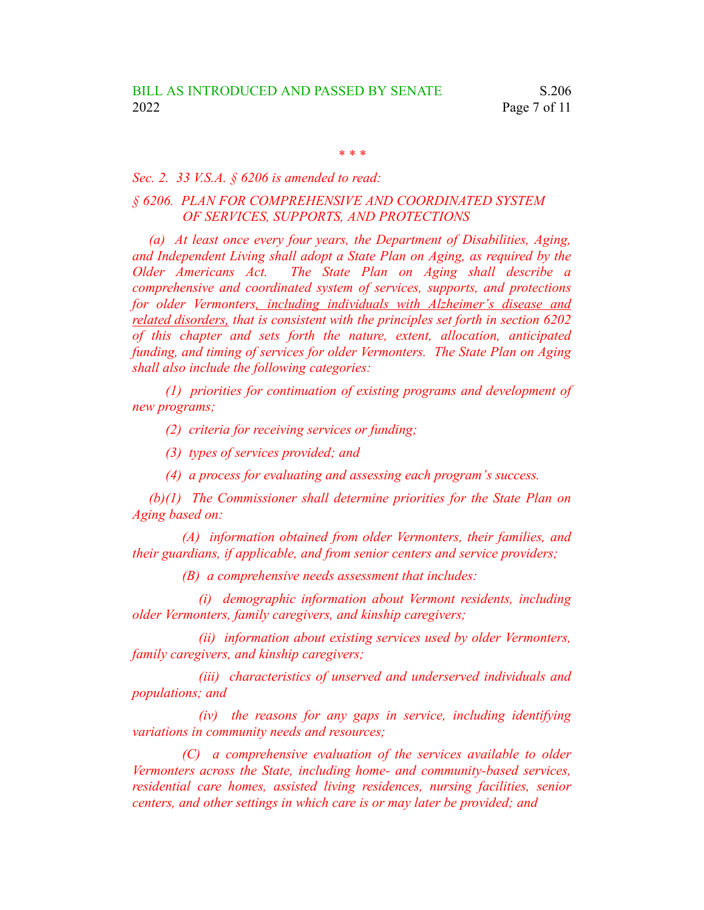*\* \* \**

## *Sec. 2. 33 V.S.A. § 6206 is amended to read:*

## *§ 6206. PLAN FOR COMPREHENSIVE AND COORDINATED SYSTEM OF SERVICES, SUPPORTS, AND PROTECTIONS*

*(a) At least once every four years, the Department of Disabilities, Aging, and Independent Living shall adopt a State Plan on Aging, as required by the Older Americans Act. The State Plan on Aging shall describe a comprehensive and coordinated system of services, supports, and protections for older Vermonters, including individuals with Alzheimer's disease and related disorders, that is consistent with the principles set forth in section 6202 of this chapter and sets forth the nature, extent, allocation, anticipated funding, and timing of services for older Vermonters. The State Plan on Aging shall also include the following categories:*

*(1) priorities for continuation of existing programs and development of new programs;*

*(2) criteria for receiving services or funding;*

*(3) types of services provided; and*

*(4) a process for evaluating and assessing each program's success.*

*(b)(1) The Commissioner shall determine priorities for the State Plan on Aging based on:*

*(A) information obtained from older Vermonters, their families, and their guardians, if applicable, and from senior centers and service providers;*

*(B) a comprehensive needs assessment that includes:*

*(i) demographic information about Vermont residents, including older Vermonters, family caregivers, and kinship caregivers;*

*(ii) information about existing services used by older Vermonters, family caregivers, and kinship caregivers;*

*(iii) characteristics of unserved and underserved individuals and populations; and*

*(iv) the reasons for any gaps in service, including identifying variations in community needs and resources;*

*(C) a comprehensive evaluation of the services available to older Vermonters across the State, including home- and community-based services, residential care homes, assisted living residences, nursing facilities, senior centers, and other settings in which care is or may later be provided; and*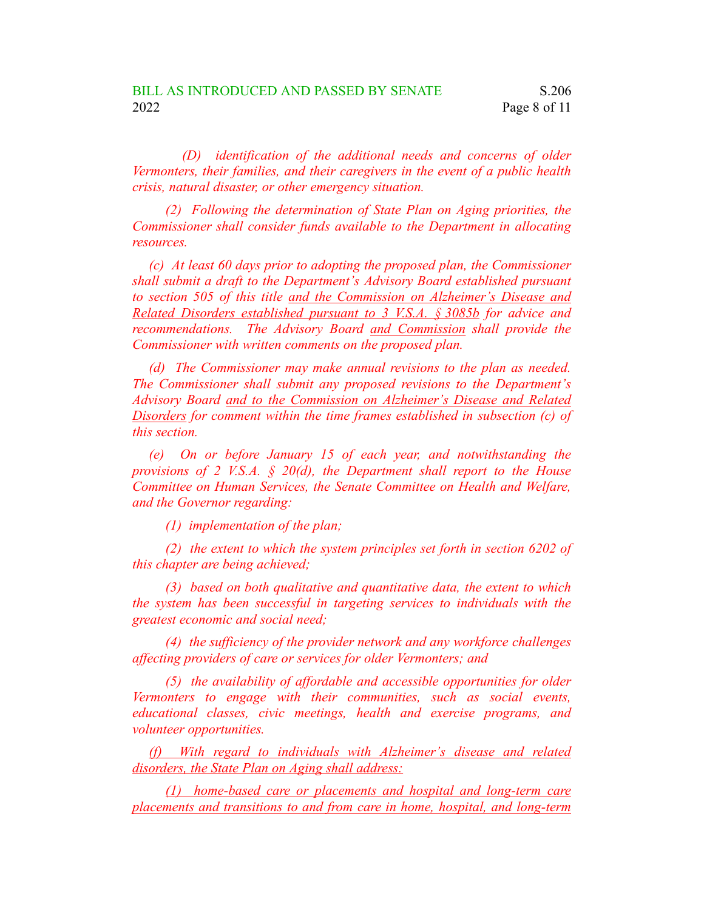*(D) identification of the additional needs and concerns of older Vermonters, their families, and their caregivers in the event of a public health crisis, natural disaster, or other emergency situation.*

*(2) Following the determination of State Plan on Aging priorities, the Commissioner shall consider funds available to the Department in allocating resources.*

*(c) At least 60 days prior to adopting the proposed plan, the Commissioner shall submit a draft to the Department's Advisory Board established pursuant to section 505 of this title and the Commission on Alzheimer's Disease and Related Disorders established pursuant to 3 V.S.A. § 3085b for advice and recommendations. The Advisory Board and Commission shall provide the Commissioner with written comments on the proposed plan.*

*(d) The Commissioner may make annual revisions to the plan as needed. The Commissioner shall submit any proposed revisions to the Department's Advisory Board and to the Commission on Alzheimer's Disease and Related Disorders for comment within the time frames established in subsection (c) of this section.*

*(e) On or before January 15 of each year, and notwithstanding the provisions of 2 V.S.A. § 20(d), the Department shall report to the House Committee on Human Services, the Senate Committee on Health and Welfare, and the Governor regarding:*

*(1) implementation of the plan;*

*(2) the extent to which the system principles set forth in section 6202 of this chapter are being achieved;*

*(3) based on both qualitative and quantitative data, the extent to which the system has been successful in targeting services to individuals with the greatest economic and social need;*

*(4) the sufficiency of the provider network and any workforce challenges affecting providers of care or services for older Vermonters; and*

*(5) the availability of affordable and accessible opportunities for older Vermonters to engage with their communities, such as social events, educational classes, civic meetings, health and exercise programs, and volunteer opportunities.*

*(f) With regard to individuals with Alzheimer's disease and related disorders, the State Plan on Aging shall address:*

*(1) home-based care or placements and hospital and long-term care placements and transitions to and from care in home, hospital, and long-term*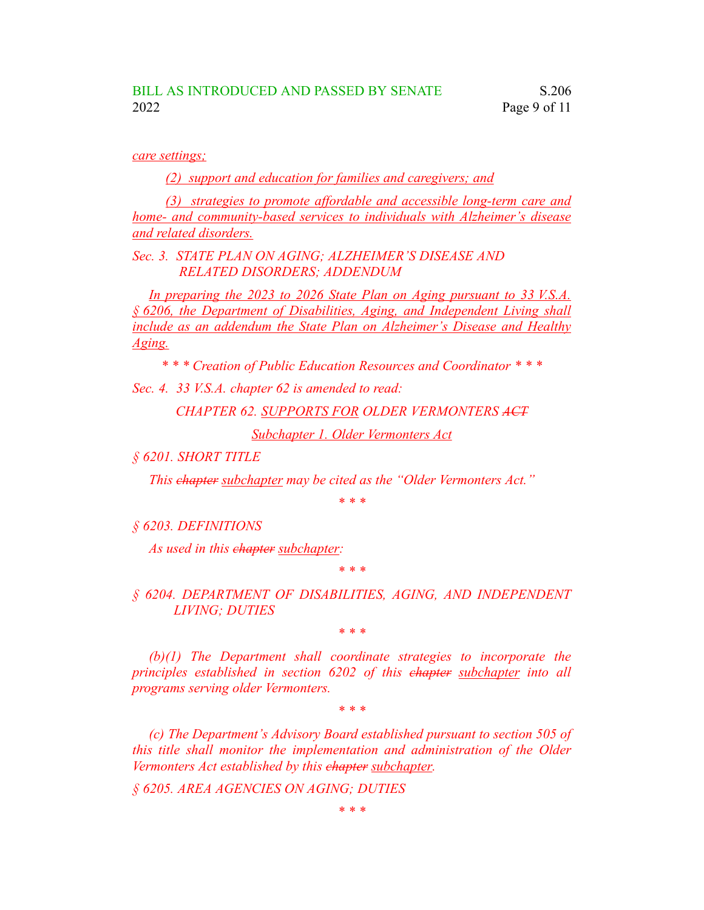*care settings;*

*(2) support and education for families and caregivers; and*

*(3) strategies to promote affordable and accessible long-term care and home- and community-based services to individuals with Alzheimer's disease and related disorders.*

*Sec. 3. STATE PLAN ON AGING; ALZHEIMER'S DISEASE AND RELATED DISORDERS; ADDENDUM*

*In preparing the 2023 to 2026 State Plan on Aging pursuant to 33 V.S.A. § 6206, the Department of Disabilities, Aging, and Independent Living shall include as an addendum the State Plan on Alzheimer's Disease and Healthy Aging.*

*\* \* \* Creation of Public Education Resources and Coordinator \* \* \**

*Sec. 4. 33 V.S.A. chapter 62 is amended to read:*

*CHAPTER 62. SUPPORTS FOR OLDER VERMONTERS ACT*

*Subchapter 1. Older Vermonters Act*

*§ 6201. SHORT TITLE*

*This chapter subchapter may be cited as the "Older Vermonters Act."*

*\* \* \**

*§ 6203. DEFINITIONS*

*As used in this chapter subchapter:*

*\* \* \**

## *§ 6204. DEPARTMENT OF DISABILITIES, AGING, AND INDEPENDENT LIVING; DUTIES*

*\* \* \**

*(b)(1) The Department shall coordinate strategies to incorporate the principles established in section 6202 of this chapter subchapter into all programs serving older Vermonters.*

*\* \* \**

*(c) The Department's Advisory Board established pursuant to section 505 of this title shall monitor the implementation and administration of the Older Vermonters Act established by this chapter subchapter.*

*§ 6205. AREA AGENCIES ON AGING; DUTIES*

*\* \* \**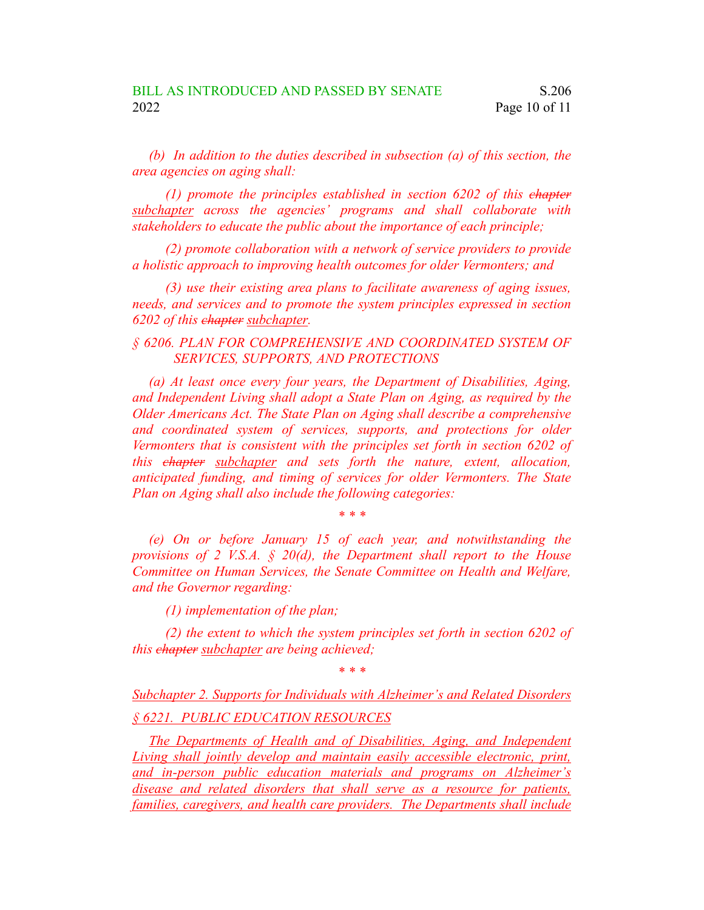*(b) In addition to the duties described in subsection (a) of this section, the area agencies on aging shall:*

*(1) promote the principles established in section 6202 of this chapter subchapter across the agencies' programs and shall collaborate with stakeholders to educate the public about the importance of each principle;*

*(2) promote collaboration with a network of service providers to provide a holistic approach to improving health outcomes for older Vermonters; and*

*(3) use their existing area plans to facilitate awareness of aging issues, needs, and services and to promote the system principles expressed in section 6202 of this chapter subchapter.*

*§ 6206. PLAN FOR COMPREHENSIVE AND COORDINATED SYSTEM OF SERVICES, SUPPORTS, AND PROTECTIONS*

*(a) At least once every four years, the Department of Disabilities, Aging, and Independent Living shall adopt a State Plan on Aging, as required by the Older Americans Act. The State Plan on Aging shall describe a comprehensive and coordinated system of services, supports, and protections for older Vermonters that is consistent with the principles set forth in section 6202 of this chapter subchapter and sets forth the nature, extent, allocation, anticipated funding, and timing of services for older Vermonters. The State Plan on Aging shall also include the following categories:*

*\* \* \**

*(e) On or before January 15 of each year, and notwithstanding the provisions of 2 V.S.A. § 20(d), the Department shall report to the House Committee on Human Services, the Senate Committee on Health and Welfare, and the Governor regarding:*

*(1) implementation of the plan;*

*(2) the extent to which the system principles set forth in section 6202 of this chapter subchapter are being achieved;*

*\* \* \**

*Subchapter 2. Supports for Individuals with Alzheimer's and Related Disorders § 6221. PUBLIC EDUCATION RESOURCES*

*The Departments of Health and of Disabilities, Aging, and Independent Living shall jointly develop and maintain easily accessible electronic, print, and in-person public education materials and programs on Alzheimer's disease and related disorders that shall serve as a resource for patients, families, caregivers, and health care providers. The Departments shall include*